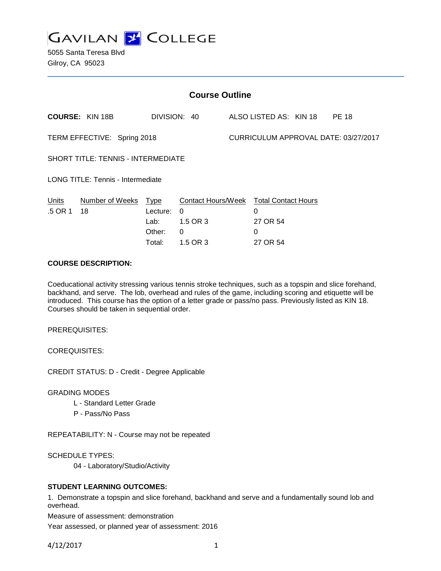

5055 Santa Teresa Blvd Gilroy, CA 95023

| <b>Course Outline</b>                    |                                       |                                                           |                                       |                                      |                                                                  |  |  |
|------------------------------------------|---------------------------------------|-----------------------------------------------------------|---------------------------------------|--------------------------------------|------------------------------------------------------------------|--|--|
|                                          |                                       |                                                           |                                       |                                      | <b>PE 18</b>                                                     |  |  |
| TERM EFFECTIVE: Spring 2018              |                                       |                                                           |                                       | CURRICULUM APPROVAL DATE: 03/27/2017 |                                                                  |  |  |
|                                          |                                       |                                                           |                                       |                                      |                                                                  |  |  |
| <b>LONG TITLE: Tennis - Intermediate</b> |                                       |                                                           |                                       |                                      |                                                                  |  |  |
| Lecture:<br>Lab:<br>Other:<br>Total:     | $\Omega$<br>1.5 OR 3<br>0<br>1.5 OR 3 |                                                           | $\Omega$<br>27 OR 54<br>0<br>27 OR 54 |                                      |                                                                  |  |  |
|                                          | Number of Weeks Type                  | DIVISION: 40<br><b>SHORT TITLE: TENNIS - INTERMEDIATE</b> |                                       |                                      | ALSO LISTED AS: KIN 18<br>Contact Hours/Week Total Contact Hours |  |  |

# **COURSE DESCRIPTION:**

Coeducational activity stressing various tennis stroke techniques, such as a topspin and slice forehand, backhand, and serve. The lob, overhead and rules of the game, including scoring and etiquette will be introduced. This course has the option of a letter grade or pass/no pass. Previously listed as KIN 18. Courses should be taken in sequential order.

PREREQUISITES:

COREQUISITES:

CREDIT STATUS: D - Credit - Degree Applicable

GRADING MODES

- L Standard Letter Grade
- P Pass/No Pass

REPEATABILITY: N - Course may not be repeated

SCHEDULE TYPES:

04 - Laboratory/Studio/Activity

## **STUDENT LEARNING OUTCOMES:**

1. Demonstrate a topspin and slice forehand, backhand and serve and a fundamentally sound lob and overhead.

Measure of assessment: demonstration

Year assessed, or planned year of assessment: 2016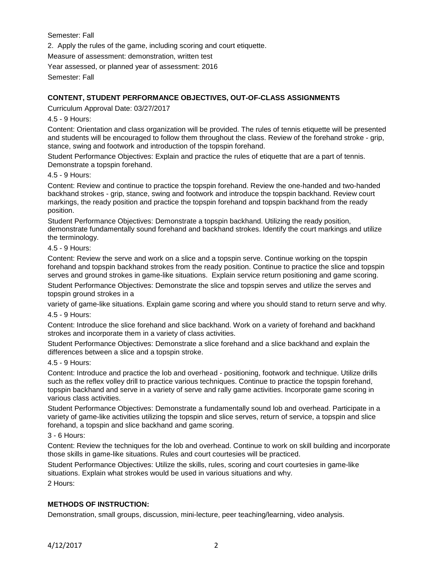Semester: Fall

2. Apply the rules of the game, including scoring and court etiquette.

Measure of assessment: demonstration, written test

Year assessed, or planned year of assessment: 2016

Semester: Fall

# **CONTENT, STUDENT PERFORMANCE OBJECTIVES, OUT-OF-CLASS ASSIGNMENTS**

Curriculum Approval Date: 03/27/2017

# 4.5 - 9 Hours:

Content: Orientation and class organization will be provided. The rules of tennis etiquette will be presented and students will be encouraged to follow them throughout the class. Review of the forehand stroke - grip, stance, swing and footwork and introduction of the topspin forehand.

Student Performance Objectives: Explain and practice the rules of etiquette that are a part of tennis. Demonstrate a topspin forehand.

### 4.5 - 9 Hours:

Content: Review and continue to practice the topspin forehand. Review the one-handed and two-handed backhand strokes - grip, stance, swing and footwork and introduce the topspin backhand. Review court markings, the ready position and practice the topspin forehand and topspin backhand from the ready position.

Student Performance Objectives: Demonstrate a topspin backhand. Utilizing the ready position, demonstrate fundamentally sound forehand and backhand strokes. Identify the court markings and utilize the terminology.

### 4.5 - 9 Hours:

Content: Review the serve and work on a slice and a topspin serve. Continue working on the topspin forehand and topspin backhand strokes from the ready position. Continue to practice the slice and topspin serves and ground strokes in game-like situations. Explain service return positioning and game scoring.

Student Performance Objectives: Demonstrate the slice and topspin serves and utilize the serves and topspin ground strokes in a

variety of game-like situations. Explain game scoring and where you should stand to return serve and why.

4.5 - 9 Hours:

Content: Introduce the slice forehand and slice backhand. Work on a variety of forehand and backhand strokes and incorporate them in a variety of class activities.

Student Performance Objectives: Demonstrate a slice forehand and a slice backhand and explain the differences between a slice and a topspin stroke.

#### 4.5 - 9 Hours:

Content: Introduce and practice the lob and overhead - positioning, footwork and technique. Utilize drills such as the reflex volley drill to practice various techniques. Continue to practice the topspin forehand, topspin backhand and serve in a variety of serve and rally game activities. Incorporate game scoring in various class activities.

Student Performance Objectives: Demonstrate a fundamentally sound lob and overhead. Participate in a variety of game-like activities utilizing the topspin and slice serves, return of service, a topspin and slice forehand, a topspin and slice backhand and game scoring.

3 - 6 Hours:

Content: Review the techniques for the lob and overhead. Continue to work on skill building and incorporate those skills in game-like situations. Rules and court courtesies will be practiced.

Student Performance Objectives: Utilize the skills, rules, scoring and court courtesies in game-like situations. Explain what strokes would be used in various situations and why.

2 Hours:

## **METHODS OF INSTRUCTION:**

Demonstration, small groups, discussion, mini-lecture, peer teaching/learning, video analysis.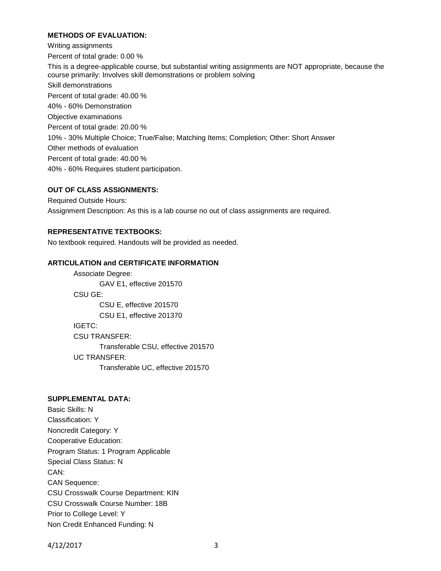# **METHODS OF EVALUATION:**

Writing assignments Percent of total grade: 0.00 % This is a degree-applicable course, but substantial writing assignments are NOT appropriate, because the course primarily: Involves skill demonstrations or problem solving Skill demonstrations Percent of total grade: 40.00 % 40% - 60% Demonstration Objective examinations Percent of total grade: 20.00 % 10% - 30% Multiple Choice; True/False; Matching Items; Completion; Other: Short Answer Other methods of evaluation Percent of total grade: 40.00 % 40% - 60% Requires student participation.

## **OUT OF CLASS ASSIGNMENTS:**

Required Outside Hours: Assignment Description: As this is a lab course no out of class assignments are required.

## **REPRESENTATIVE TEXTBOOKS:**

No textbook required. Handouts will be provided as needed.

#### **ARTICULATION and CERTIFICATE INFORMATION**

Associate Degree: GAV E1, effective 201570 CSU GE: CSU E, effective 201570 CSU E1, effective 201370 IGETC: CSU TRANSFER: Transferable CSU, effective 201570 UC TRANSFER: Transferable UC, effective 201570

### **SUPPLEMENTAL DATA:**

Basic Skills: N Classification: Y Noncredit Category: Y Cooperative Education: Program Status: 1 Program Applicable Special Class Status: N CAN: CAN Sequence: CSU Crosswalk Course Department: KIN CSU Crosswalk Course Number: 18B Prior to College Level: Y Non Credit Enhanced Funding: N

4/12/2017 3